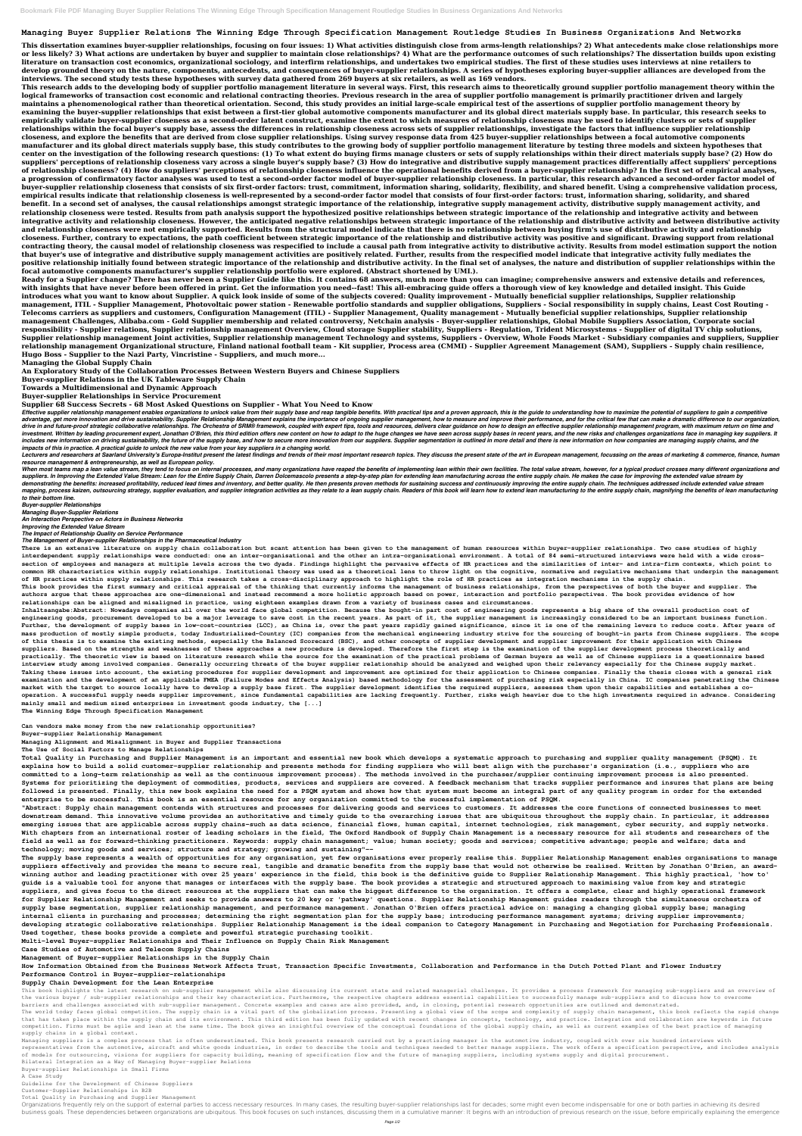## **Managing Buyer Supplier Relations The Winning Edge Through Specification Management Routledge Studies In Business Organizations And Networks**

**This dissertation examines buyer-supplier relationships, focusing on four issues: 1) What activities distinguish close from arms-length relationships? 2) What antecedents make close relationships more or less likely? 3) What actions are undertaken by buyer and supplier to maintain close relationships? 4) What are the performance outcomes of such relationships? The dissertation builds upon existing literature on transaction cost economics, organizational sociology, and interfirm relationships, and undertakes two empirical studies. The first of these studies uses interviews at nine retailers to develop grounded theory on the nature, components, antecedents, and consequences of buyer-supplier relationships. A series of hypotheses exploring buyer-supplier alliances are developed from the interviews. The second study tests these hypotheses with survey data gathered from 269 buyers at six retailers, as well as 169 vendors.**

**This research adds to the developing body of supplier portfolio management literature in several ways. First, this research aims to theoretically ground supplier portfolio management theory within the logical frameworks of transaction cost economic and relational contracting theories. Previous research in the area of supplier portfolio management is primarily practitioner driven and largely maintains a phenomenological rather than theoretical orientation. Second, this study provides an initial large-scale empirical test of the assertions of supplier portfolio management theory by examining the buyer-supplier relationships that exist between a first-tier global automotive components manufacturer and its global direct materials supply base. In particular, this research seeks to empirically validate buyer-supplier closeness as a second-order latent construct, examine the extent to which measures of relationship closeness may be used to identify clusters or sets of supplier relationships within the focal buyer's supply base, assess the differences in relationship closeness across sets of supplier relationships, investigate the factors that influence supplier relationship closeness, and explore the benefits that are derived from close supplier relationships. Using survey response data from 425 buyer-supplier relationships between a focal automotive components manufacturer and its global direct materials supply base, this study contributes to the growing body of supplier portfolio management literature by testing three models and sixteen hypotheses that center on the investigation of the following research questions: (1) To what extent do buying firms manage clusters or sets of supply relationships within their direct materials supply base? (2) How do suppliers' perceptions of relationship closeness vary across a single buyer's supply base? (3) How do integrative and distributive supply management practices differentially affect suppliers' perceptions of relationship closeness? (4) How do suppliers' perceptions of relationship closeness influence the operational benefits derived from a buyer-supplier relationship? In the first set of empirical analyses, a progression of confirmatory factor analyses was used to test a second-order factor model of buyer-supplier relationship closeness. In particular, this research advanced a second-order factor model of buyer-supplier relationship closeness that consists of six first-order factors: trust, commitment, information sharing, solidarity, flexibility, and shared benefit. Using a comprehensive validation process, empirical results indicate that relationship closeness is well-represented by a second-order factor model that consists of four first-order factors: trust, information sharing, solidarity, and shared benefit. In a second set of analyses, the causal relationships amongst strategic importance of the relationship, integrative supply management activity, distributive supply management activity, and relationship closeness were tested. Results from path analysis support the hypothesized positive relationships between strategic importance of the relationship and integrative activity and between integrative activity and relationship closeness. However, the anticipated negative relationships between strategic importance of the relationship and distributive activity and between distributive activity and relationship closeness were not empirically supported. Results from the structural model indicate that there is no relationship between buying firm's use of distributive activity and relationship closeness. Further, contrary to expectations, the path coefficient between strategic importance of the relationship and distributive activity was positive and significant. Drawing support from relational contracting theory, the causal model of relationship closeness was respecified to include a causal path from integrative activity to distributive activity. Results from model estimation support the notion that buyer's use of integrative and distributive supply management activities are positively related. Further, results from the respecified model indicate that integrative activity fully mediates the positive relationship initially found between strategic importance of the relationship and distributive activity. In the final set of analyses, the nature and distribution of supplier relationships within the focal automotive components manufacturer's supplier relationship portfolio were explored. (Abstract shortened by UMI.).**

Effective supplier relationship management enables organizations to unlock value from their supply base and reap tangible benefits. With practical tips and a proven approach, this is the guide to understanding how to maxim advantage, get more innovation and drive sustainability. Supplier Relationship Management explains the importance of ongoing supplier management, how to measure and improve their performance, and for the critical few that drive in and future-proof strategic collaborative relationships. The Orchestra of SRM® framework, coupled with expert tips, tools and resources, delivers clear guidance on how to design an effective supplier relationship m investment. Written by leading procurement expert, Jonathan O'Brien, this third edition offers new content on how to adapt to the huge changes we have seen across supply bases in recent years, and the new risks and challen includes new information on driving sustainability, the future of the supply base, and how to secure more innovation from our suppliers. Supplier segmentation is outlined in more detail and there is new information on how *impacts of this in practice. A practical guide to unlock the new value from your key suppliers in a changing world.*

Lecturers and researchers at Saarland University's Europa-Institut present the latest findings and trends of their most important research topics. They discuss the present state of the art in European management, focussing *resource management & entrepreneurship, as well as European policy.*

When most teams map a lean value stream, they tend to focus on internal processes, and many organizations have reaped the benefits of implementing lean within their own facilities. The total value stream, however, for a ty suppliers. In Improving the Extended Value Stream: Lean for the Entire Supply Chain. Darren Dolcemascolo presents a step-by-step plan for extending lean manufacturing across the entire supply chain. He makes the case for i demonstrating the benefits: increased profitability, reduced lead times and inventory, and better quality. He then presents proven methods for sustaining success and continuously improving the entire supply chain. The tech mapping, process kaizen, outsourcing strategy, supplier evaluation, and supplier integration activities as they relate to a lean supply chain. Readers of this book will learn how to extend lean manufacturing to the entire *to their bottom line.*

**Ready for a Supplier change? There has never been a Supplier Guide like this. It contains 68 answers, much more than you can imagine; comprehensive answers and extensive details and references, with insights that have never before been offered in print. Get the information you need--fast! This all-embracing guide offers a thorough view of key knowledge and detailed insight. This Guide introduces what you want to know about Supplier. A quick look inside of some of the subjects covered: Quality improvement - Mutually beneficial supplier relationships, Supplier relationship management, ITIL - Supplier Management, Photovoltaic power station - Renewable portfolio standards and supplier obligations, Suppliers - Social responsibility in supply chains, Least Cost Routing - Telecoms carriers as suppliers and customers, Configuration Management (ITIL) - Supplier Management, Quality management - Mutually beneficial supplier relationships, Supplier relationship management Challenges, Alibaba.com - Gold Supplier membership and related controversy, Netchain analysis - Buyer-supplier relationships, Global Mobile Suppliers Association, Corporate social responsibility - Supplier relations, Supplier relationship management Overview, Cloud storage Supplier stability, Suppliers - Regulation, Trident Microsystems - Supplier of digital TV chip solutions, Supplier relationship management Joint activities, Supplier relationship management Technology and systems, Suppliers - Overview, Whole Foods Market - Subsidiary companies and suppliers, Supplier relationship management Organizational structure, Finland national football team - Kit supplier, Process area (CMMI) - Supplier Agreement Management (SAM), Suppliers - Supply chain resilience, Hugo Boss - Supplier to the Nazi Party, Vincristine - Suppliers, and much more...**

**Managing the Global Supply Chain**

**An Exploratory Study of the Collaboration Processes Between Western Buyers and Chinese Suppliers**

**Buyer-supplier Relations in the UK Tableware Supply Chain**

**Towards a Multidimensional and Dynamic Approach**

**Buyer-supplier Relationships in Service Procurement**

**Supplier 68 Success Secrets - 68 Most Asked Questions on Supplier - What You Need to Know**

This book highlights the latest research on sub-supplier management while also discussing its current state and related managerial challenges. It provides a process framework for managing sub-suppliers and an overview of the various buyer / sub-supplier relationships and their key characteristics. Furthermore, the respective chapters address essential capabilities to successfully manage sub-suppliers and to discuss how to overcome barriers and challenges associated with sub-supplier management. Concrete examples and cases are also provided, and, in closing, potential research opportunities are outlined and demonstrated.

The world today faces global competition. The supply chain is a vital part of the globalization process. Presenting a global view of the scope and complexity of supply chain management, this book reflects the rapid change that has taken place within the supply chain and its environment. This third edition has been fully updated with recent changes in concepts, technology, and practice. Integration and collaboration are keywords in future competition. Firms must be agile and lean at the same time. The book gives an insightful overview of the conceptual foundations of the global supply chain, as well as current examples of the best practice of managing supply chains in a global context.

Managing suppliers is a complex process that is often underestimated. This book presents research carried out by a practising manager in the automotive industry, coupled with over six hundred interviews with representatives from the automotive, aircraft and white goods industries, in order to describe the tools and techniques needed to better manage suppliers. The work offers a specification perspective, and includes analysis of models for outsourcing, visions for suppliers for capacity building, meaning of specification flow and the future of managing suppliers, including systems supply and digital procurement.

*Buyer-supplier Relationships*

*Managing Buyer-Supplier Relations An Interaction Perspective on Actors in Business Networks*

*Improving the Extended Value Stream*

*The Impact of Relationship Quality on Service Performance*

*The Management of Buyer-supplier Relationships in the Pharmaceutical Industry*

**There is an extensive literature on supply chain collaboration but scant attention has been given to the management of human resources within buyer-supplier relationships. Two case studies of highly interdependent supply relationships were conducted: one an inter-organisational and the other an intra-organisational environment. A total of 84 semi-structured interviews were held with a wide crosssection of employees and managers at multiple levels across the two dyads. Findings highlight the pervasive effects of HR practices and the similarities of inter- and intra-firm contexts, which point to common HR characteristics within supply relationships. Institutional theory was used as a theoretical lens to throw light on the cognitive, normative and regulative mechanisms that underpin the management of HR practices within supply relationships. This research takes a cross-disciplinary approach to highlight the role of HR practices as integration mechanisms in the supply chain.**

**This book provides the first summary and critical appraisal of the thinking that currently informs the management of business relationships, from the perspectives of both the buyer and supplier. The authors argue that these approaches are one-dimensional and instead recommend a more holistic approach based on power, interaction and portfolio perspectives. The book provides evidence of how relationships can be aligned and misaligned in practice, using eighteen examples drawn from a variety of business cases and circumstances.**

**Inhaltsangabe:Abstract: Nowadays companies all over the world face global competition. Because the bought-in part cost of engineering goods represents a big share of the overall production cost of engineering goods, procurement developed to be a major leverage to save cost in the recent years. As part of it, the supplier management is increasingly considered to be an important business function. Further, the development of supply bases in low-cost-countries (LCC), as China is, over the past years rapidly gained significance, since it is one of the remaining levers to reduce costs. After years of mass production of mostly simple products, today Industrialized-Country (IC) companies from the mechanical engineering industry strive for the sourcing of bought-in parts from Chinese suppliers. The scope of this thesis is to examine the existing methods, especially the Balanced Scorecard (BSC), and other concepts of supplier development and supplier improvement for their application with Chinese suppliers. Based on the strengths and weaknesses of these approaches a new procedure is developed. Therefore the first step is the examination of the supplier development process theoretically and practically. The theoretic view is based on literature research while the source for the examination of the practical problems of German buyers as well as of Chinese suppliers is a questionnaire based interview study among involved companies. Generally occurring threats of the buyer supplier relationship should be analyzed and weighed upon their relevancy especially for the Chinese supply market. Taking these issues into account, the existing procedures for supplier development and improvement are optimized for their application to Chinese companies. Finally the thesis closes with a general risk examination and the development of an applicable FMEA (Failure Modes and Effects Analysis) based methodology for the assessment of purchasing risk especially in China. IC companies penetrating the Chinese market with the target to source locally have to develop a supply base first. The supplier development identifies the required suppliers, assesses them upon their capabilities and establishes a cooperation. A successful supply needs supplier improvement, since fundamental capabilities are lacking frequently. Further, risks weigh heavier due to the high investments required in advance. Considering mainly small and medium sized enterprises in investment goods industry, the [...]**

**The Winning Edge Through Specification Management**

**Can vendors make money from the new relationship opportunities?**

**Buyer-supplier Relationship Management**

**Managing Alignment and Misalignment in Buyer and Supplier Transactions**

**The Use of Social Factors to Manage Relationships**

**Total Quality in Purchasing and Supplier Management is an important and essential new book which develops a systematic approach to purchasing and supplier quality management (PSQM). It explains how to build a solid customer-supplier relationship and presents methods for finding suppliers who will best align with the purchaser's organization (i.e., suppliers who are committed to a long-term relationship as well as the continuous improvement process). The methods involved in the purchaser/supplier continuing improvement process is also presented. Systems for prioritizing the deployment of commodities, products, services and suppliers are covered. A feedback mechanism that tracks supplier performance and insures that plans are being followed is presented. Finally, this new book explains the need for a PSQM system and shows how that system must become an integral part of any quality program in order for the extended enterprise to be successful. This book is an essential resource for any organization committed to the sucessful implementation of PSQM.**

**"Abstract: Supply chain management contends with structures and processes for delivering goods and services to customers. It addresses the core functions of connected businesses to meet downstream demand. This innovative volume provides an authoritative and timely guide to the overarching issues that are ubiquitous throughout the supply chain. In particular, it addresses emerging issues that are applicable across supply chains-such as data science, financial flows, human capital, internet technologies, risk management, cyber security, and supply networks. With chapters from an international roster of leading scholars in the field, The Oxford Handbook of Supply Chain Management is a necessary resource for all students and researchers of the field as well as for forward-thinking practitioners. Keywords: supply chain management; value; human society; goods and services; competitive advantage; people and welfare; data and technology; moving goods and services; structure and strategy; growing and sustaining"--**

**The supply base represents a wealth of opportunities for any organisation, yet few organisations ever properly realise this. Supplier Relationship Management enables organisations to manage suppliers effectively and provides the means to secure real, tangible and dramatic benefits from the supply base that would not otherwise be realised. Written by Jonathan O'Brien, an awardwinning author and leading practitioner with over 25 years' experience in the field, this book is the definitive guide to Supplier Relationship Management. This highly practical, 'how to' guide is a valuable tool for anyone that manages or interfaces with the supply base. The book provides a strategic and structured approach to maximising value from key and strategic suppliers, and gives focus to the direct resources at the suppliers that can make the biggest difference to the organization. It offers a complete, clear and highly operational framework for Supplier Relationship Management and seeks to provide answers to 20 key or 'pathway' questions. Supplier Relationship Management guides readers through the simultaneous orchestra of supply base segmentation, supplier relationship management, and performance management. Jonathan O'Brien offers practical advice on: managing a changing global supply base; managing internal clients in purchasing and processes; determining the right segmentation plan for the supply base; introducing performance management systems; driving supplier improvements; developing strategic collaborative relationships. Supplier Relationship Management is the ideal companion to Category Management in Purchasing and Negotiation for Purchasing Professionals. Used together, these books provide a complete and powerful strategic purchasing toolkit.**

**Multi-level Buyer-supplier Relationships and Their Influence on Supply Chain Risk Management**

**Case Studies of Automotive and Telecom Supply Chains**

**Management of Buyer-supplier Relationships in the Supply Chain**

**How Information Obtained from the Business Network Affects Trust, Transaction Specific Investments, Collaboration and Performance in the Dutch Potted Plant and Flower Industry Performance Control in Buyer-supplier-relationships**

## **Supply Chain Development for the Lean Enterprise**

Bilateral Integration as a Way of Managing Buyer-supplier Relations

Buyer-supplier Relationships in Small Firms

A Case Study

Guideline for the Development of Chinese Suppliers

Customer-Supplier Relationships in B2B

Total Quality in Purchasing and Supplier Management

Organizations frequently rely on the support of external parties to access necessary resources. In many cases, the resulting buyer-supplier relationships last for decades; some might even become indispensable for one or bo business goals. These dependencies between organizations are ubiquitous. This book focuses on such instances, discussing them in a cumulative manner: It begins with an introduction of previous research on the issue, before